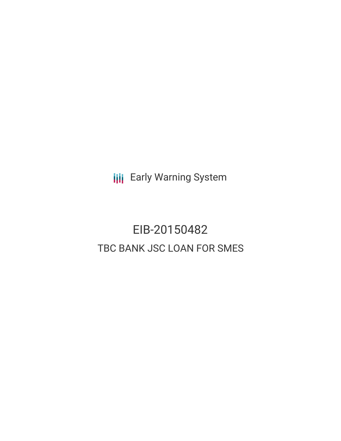**III** Early Warning System

# EIB-20150482 TBC BANK JSC LOAN FOR SMES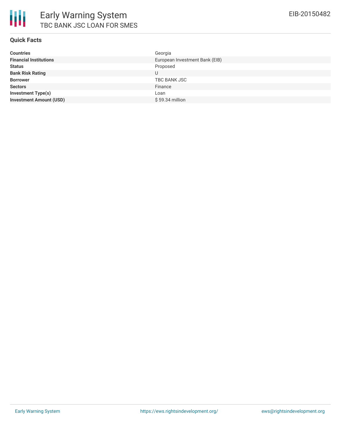

#### **Quick Facts**

| <b>Countries</b>               | Georgia                        |
|--------------------------------|--------------------------------|
| <b>Financial Institutions</b>  | European Investment Bank (EIB) |
| <b>Status</b>                  | Proposed                       |
| <b>Bank Risk Rating</b>        | U                              |
| <b>Borrower</b>                | TBC BANK JSC                   |
| <b>Sectors</b>                 | Finance                        |
| <b>Investment Type(s)</b>      | Loan                           |
| <b>Investment Amount (USD)</b> | $$59.34$ million               |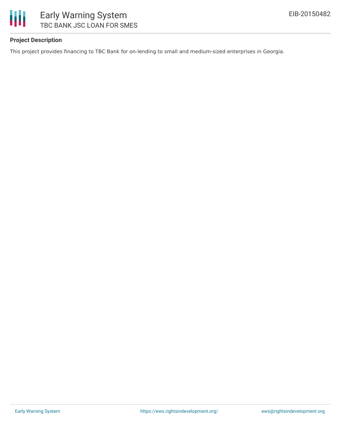

## **Project Description**

This project provides financing to TBC Bank for on-lending to small and medium-sized enterprises in Georgia.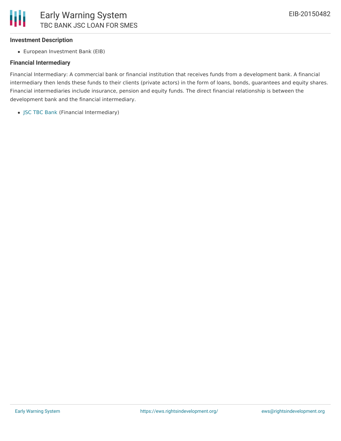

#### **Investment Description**

European Investment Bank (EIB)

#### **Financial Intermediary**

Financial Intermediary: A commercial bank or financial institution that receives funds from a development bank. A financial intermediary then lends these funds to their clients (private actors) in the form of loans, bonds, guarantees and equity shares. Financial intermediaries include insurance, pension and equity funds. The direct financial relationship is between the development bank and the financial intermediary.

JSC TBC [Bank](file:///actor/542/) (Financial Intermediary)